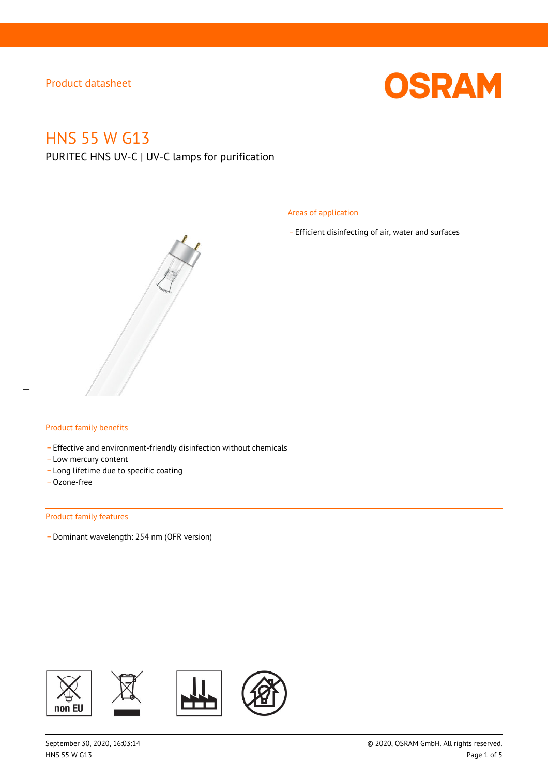

# HNS 55 W G13

PURITEC HNS UV-C | UV-C lamps for purification

Areas of application

\_ Efficient disinfecting of air, water and surfaces



#### Product family benefits

- Effective and environment-friendly disinfection without chemicals
- Low mercury content
- \_ Long lifetime due to specific coating
- \_ Ozone-free

#### Product family features

\_ Dominant wavelength: 254 nm (OFR version)

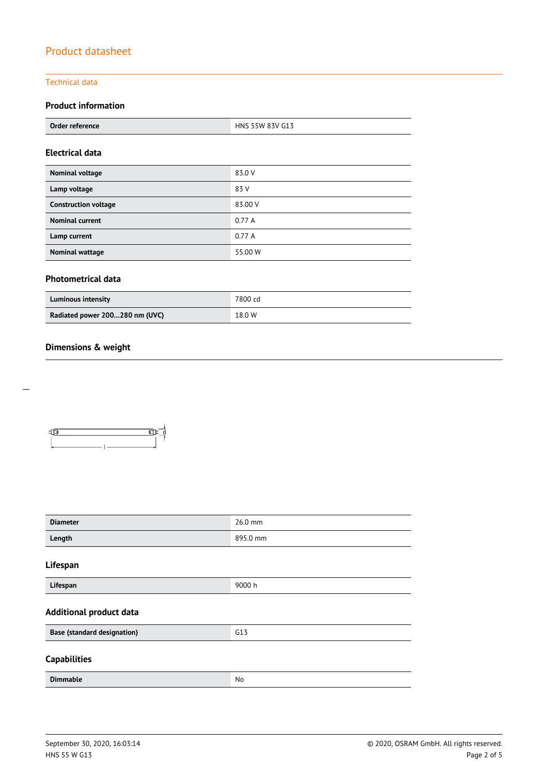#### Technical data

## **Product information**

| Order reference | G13<br>$I = I - I$<br>971/1<br>HNS 55W |
|-----------------|----------------------------------------|
|                 |                                        |

#### **Electrical data**

| Nominal voltage             | 83.0 V  |
|-----------------------------|---------|
| Lamp voltage                | 83 V    |
| <b>Construction voltage</b> | 83.00 V |
| <b>Nominal current</b>      | 0.77A   |
| Lamp current                | 0.77A   |
| Nominal wattage             | 55.00 W |

### **Photometrical data**

| <b>Luminous intensity</b>      | 7800 cd |
|--------------------------------|---------|
| Radiated power 200280 nm (UVC) | 18.0 W  |

### **Dimensions & weight**



| <b>Diameter</b>                    | 26.0 mm  |  |
|------------------------------------|----------|--|
| Length                             | 895.0 mm |  |
| Lifespan                           |          |  |
| Lifespan                           | 9000 h   |  |
| <b>Additional product data</b>     |          |  |
| <b>Base (standard designation)</b> | G13      |  |
| <b>Capabilities</b>                |          |  |
| <b>Dimmable</b>                    | No       |  |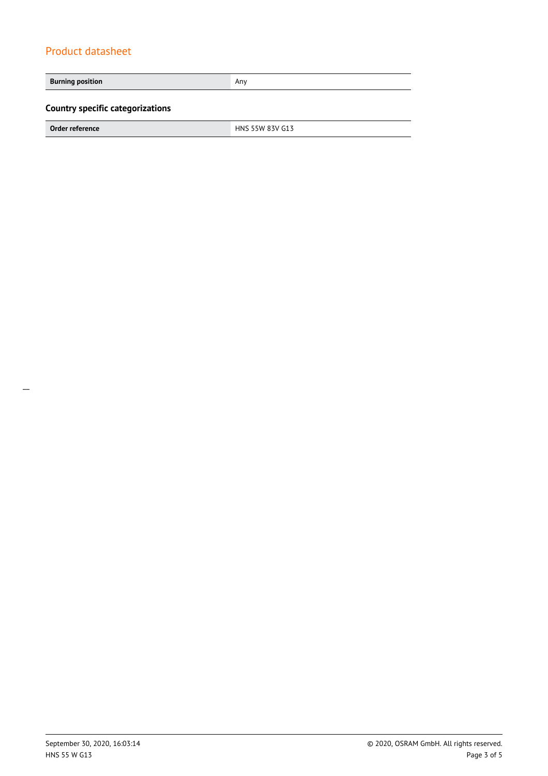**Burning position Any Any Any Any Any Any Any Any Any Country specific categorizations**

**Order reference** HNS 55W 83V G13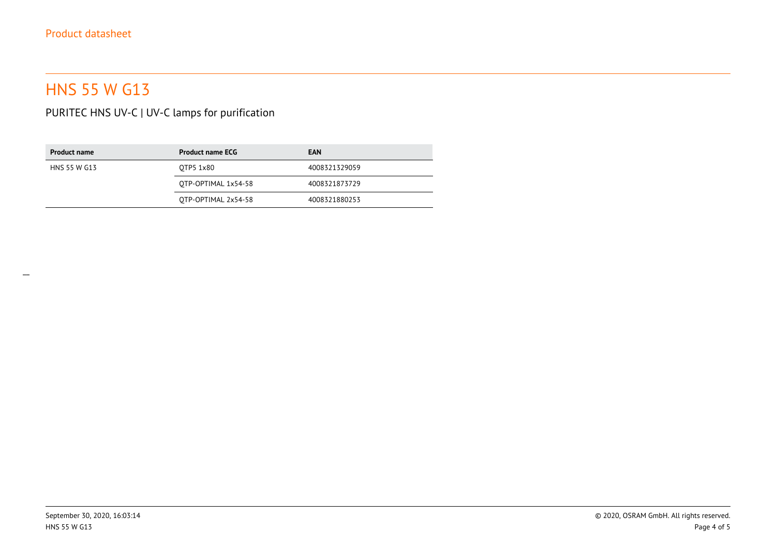# HNS 55 W G13

PURITEC HNS UV-C | UV-C lamps for purification

| <b>Product name</b> | <b>Product name ECG</b> | <b>EAN</b>    |
|---------------------|-------------------------|---------------|
| HNS 55 W G13        | OTP5 1x80               | 4008321329059 |
|                     | OTP-OPTIMAL 1x54-58     | 4008321873729 |
|                     | OTP-OPTIMAL 2x54-58     | 4008321880253 |